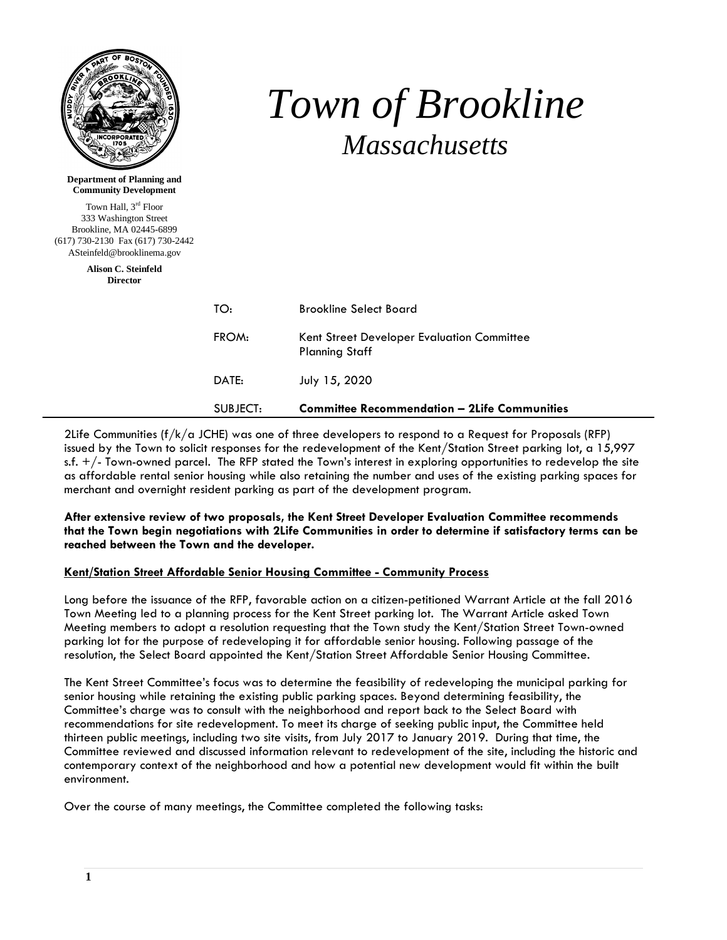| <b>Department of Planning and</b><br><b>Community Development</b><br>Town Hall, 3rd Floor<br>333 Washington Street<br>Brookline, MA 02445-6899<br>(617) 730-2130 Fax (617) 730-2442<br>ASteinfeld@brooklinema.gov<br><b>Alison C. Steinfeld</b><br><b>Director</b> |          | Town of Brookline<br><b>Massachusetts</b>                           |
|--------------------------------------------------------------------------------------------------------------------------------------------------------------------------------------------------------------------------------------------------------------------|----------|---------------------------------------------------------------------|
|                                                                                                                                                                                                                                                                    | TO:      | <b>Brookline Select Board</b>                                       |
|                                                                                                                                                                                                                                                                    | FROM:    | Kent Street Developer Evaluation Committee<br><b>Planning Staff</b> |
|                                                                                                                                                                                                                                                                    | DATE:    | July 15, 2020                                                       |
|                                                                                                                                                                                                                                                                    | SUBJECT: | <b>Committee Recommendation - 2Life Communities</b>                 |

2Life Communities ( $f/k/a$  JCHE) was one of three developers to respond to a Request for Proposals (RFP) issued by the Town to solicit responses for the redevelopment of the Kent/Station Street parking lot, a 15,997 s.f.  $+/-$  Town-owned parcel. The RFP stated the Town's interest in exploring opportunities to redevelop the site as affordable rental senior housing while also retaining the number and uses of the existing parking spaces for merchant and overnight resident parking as part of the development program.

## **After extensive review of two proposals, the Kent Street Developer Evaluation Committee recommends that the Town begin negotiations with 2Life Communities in order to determine if satisfactory terms can be reached between the Town and the developer.**

## **Kent/Station Street Affordable Senior Housing Committee - Community Process**

Long before the issuance of the RFP, favorable action on a citizen-petitioned Warrant Article at the fall 2016 Town Meeting led to a planning process for the Kent Street parking lot. The Warrant Article asked Town Meeting members to adopt a resolution requesting that the Town study the Kent/Station Street Town-owned parking lot for the purpose of redeveloping it for affordable senior housing. Following passage of the resolution, the Select Board appointed the Kent/Station Street Affordable Senior Housing Committee.

The Kent Street Committee's focus was to determine the feasibility of redeveloping the municipal parking for senior housing while retaining the existing public parking spaces. Beyond determining feasibility, the Committee's charge was to consult with the neighborhood and report back to the Select Board with recommendations for site redevelopment. To meet its charge of seeking public input, the Committee held thirteen public meetings, including two site visits, from July 2017 to January 2019. During that time, the Committee reviewed and discussed information relevant to redevelopment of the site, including the historic and contemporary context of the neighborhood and how a potential new development would fit within the built environment.

Over the course of many meetings, the Committee completed the following tasks: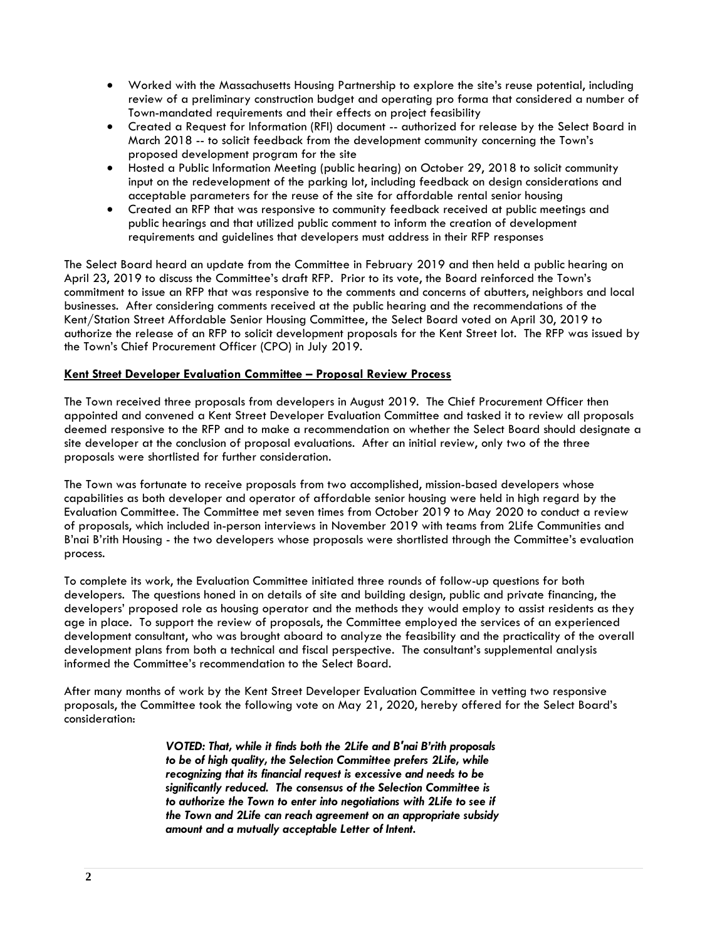- Worked with the Massachusetts Housing Partnership to explore the site's reuse potential, including review of a preliminary construction budget and operating pro forma that considered a number of Town-mandated requirements and their effects on project feasibility
- Created a Request for Information (RFI) document -- authorized for release by the Select Board in March 2018 -- to solicit feedback from the development community concerning the Town's proposed development program for the site
- Hosted a Public Information Meeting (public hearing) on October 29, 2018 to solicit community input on the redevelopment of the parking lot, including feedback on design considerations and acceptable parameters for the reuse of the site for affordable rental senior housing
- Created an RFP that was responsive to community feedback received at public meetings and public hearings and that utilized public comment to inform the creation of development requirements and guidelines that developers must address in their RFP responses

The Select Board heard an update from the Committee in February 2019 and then held a public hearing on April 23, 2019 to discuss the Committee's draft RFP. Prior to its vote, the Board reinforced the Town's commitment to issue an RFP that was responsive to the comments and concerns of abutters, neighbors and local businesses. After considering comments received at the public hearing and the recommendations of the Kent/Station Street Affordable Senior Housing Committee, the Select Board voted on April 30, 2019 to authorize the release of an RFP to solicit development proposals for the Kent Street lot. The RFP was issued by the Town's Chief Procurement Officer (CPO) in July 2019.

## **Kent Street Developer Evaluation Committee – Proposal Review Process**

The Town received three proposals from developers in August 2019. The Chief Procurement Officer then appointed and convened a Kent Street Developer Evaluation Committee and tasked it to review all proposals deemed responsive to the RFP and to make a recommendation on whether the Select Board should designate a site developer at the conclusion of proposal evaluations. After an initial review, only two of the three proposals were shortlisted for further consideration.

The Town was fortunate to receive proposals from two accomplished, mission-based developers whose capabilities as both developer and operator of affordable senior housing were held in high regard by the Evaluation Committee. The Committee met seven times from October 2019 to May 2020 to conduct a review of proposals, which included in-person interviews in November 2019 with teams from 2Life Communities and B'nai B'rith Housing - the two developers whose proposals were shortlisted through the Committee's evaluation process.

To complete its work, the Evaluation Committee initiated three rounds of follow-up questions for both developers. The questions honed in on details of site and building design, public and private financing, the developers' proposed role as housing operator and the methods they would employ to assist residents as they age in place. To support the review of proposals, the Committee employed the services of an experienced development consultant, who was brought aboard to analyze the feasibility and the practicality of the overall development plans from both a technical and fiscal perspective. The consultant's supplemental analysis informed the Committee's recommendation to the Select Board.

After many months of work by the Kent Street Developer Evaluation Committee in vetting two responsive proposals, the Committee took the following vote on May 21, 2020, hereby offered for the Select Board's consideration:

> *VOTED: That, while it finds both the 2Life and B'nai B'rith proposals to be of high quality, the Selection Committee prefers 2Life, while recognizing that its financial request is excessive and needs to be significantly reduced. The consensus of the Selection Committee is to authorize the Town to enter into negotiations with 2Life to see if the Town and 2Life can reach agreement on an appropriate subsidy amount and a mutually acceptable Letter of Intent.*